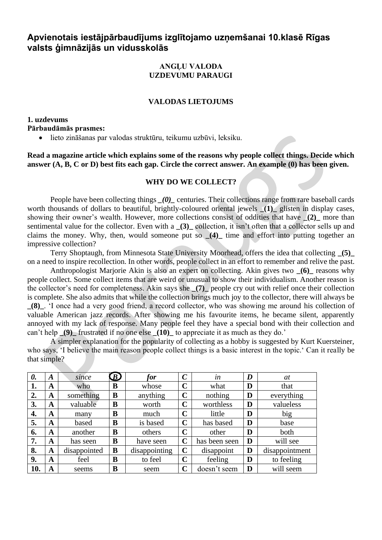# **Apvienotais iestājpārbaudījums izglītojamo uzņemšanai 10.klasē Rīgas valsts ģimnāzijās un vidusskolās**

#### **ANGĻU VALODA UZDEVUMU PARAUGI**

#### **VALODAS LIETOJUMS**

**1. uzdevums Pārbaudāmās prasmes:** 

• lieto zināšanas par valodas struktūru, teikumu uzbūvi, leksiku.

**Read a magazine article which explains some of the reasons why people collect things. Decide which answer (A, B, C or D) best fits each gap. Circle the correct answer. An example (0) has been given.** 

### **WHY DO WE COLLECT?**

People have been collecting things (0) centuries. Their collections range from rare baseball cards worth thousands of dollars to beautiful, brightly-coloured oriental jewels **\_(1)\_** glisten in display cases, showing their owner's wealth. However, more collections consist of oddities that have (2) more than sentimental value for the collector. Even with a **\_(3)\_** collection, it isn't often that a collector sells up and claims the money. Why, then, would someone put so **\_(4)\_** time and effort into putting together an impressive collection?

Terry Shoptaugh, from Minnesota State University Moorhead, offers the idea that collecting **\_(5)\_** on a need to inspire recollection. In other words, people collect in an effort to remember and relive the past.

Anthropologist Marjorie Akin is also an expert on collecting. Akin gives two **\_(6)\_** reasons why people collect. Some collect items that are weird or unusual to show their individualism. Another reason is the collector's need for completeness. Akin says she **\_(7)\_** people cry out with relief once their collection is complete. She also admits that while the collection brings much joy to the collector, there will always be **\_(8)\_**. 'I once had a very good friend, a record collector, who was showing me around his collection of valuable American jazz records. After showing me his favourite items, he became silent, apparently annoyed with my lack of response. Many people feel they have a special bond with their collection and can't help  $(9)$  frustrated if no one else  $(10)$  to appreciate it as much as they do.'

A simpler explanation for the popularity of collecting as a hobby is suggested by Kurt Kuersteiner, who says, 'I believe the main reason people collect things is a basic interest in the topic.' Can it really be that simple?

| 0.  | A | since        | $\bm{D}$ | for           | $\mathcal C$ | $\bullet$<br>$\mathfrak{m}$ | D | at             |  |
|-----|---|--------------|----------|---------------|--------------|-----------------------------|---|----------------|--|
| 1.  | A | who          | B        | whose         | $\mathbf C$  | what                        | D | that           |  |
| 2.  | A | something    | B        | anything      | $\mathbf C$  | nothing                     | D | everything     |  |
| 3.  | A | valuable     | B        | worth         | $\mathbf C$  | worthless                   | D | valueless      |  |
| 4.  | A | many         | B        | much          | $\mathbf C$  | little                      | D | big            |  |
| 5.  | A | based        | B        | is based      | $\mathbf C$  | has based                   | D | base           |  |
| 6.  | A | another      | B        | others        | $\mathbf C$  | other                       | D | both           |  |
| 7.  | A | has seen     | B        | have seen     | $\mathbf C$  | has been seen               | D | will see       |  |
| 8.  | A | disappointed | B        | disappointing | $\mathbf C$  | disappoint                  | D | disappointment |  |
| 9.  | A | feel         | B        | to feel       | $\mathbf C$  | feeling                     | D | to feeling     |  |
| 10. | A | seems        | B        | seem          | $\mathbf C$  | doesn't seem                | D | will seem      |  |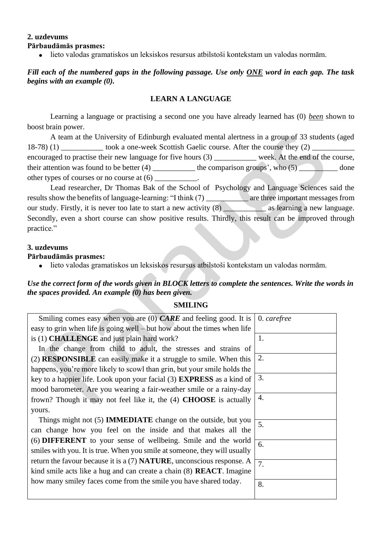#### **2. uzdevums Pārbaudāmās prasmes:**

• lieto valodas gramatiskos un leksiskos resursus atbilstoši kontekstam un valodas normām.

## *Fill each of the numbered gaps in the following passage. Use only ONE word in each gap. The task begins with an example (0).*

#### **LEARN A LANGUAGE**

Learning a language or practising a second one you have already learned has (0) *been* shown to boost brain power.

A team at the University of Edinburgh evaluated mental alertness in a group of 33 students (aged 18-78) (1) took a one-week Scottish Gaelic course. After the course they (2) encouraged to practise their new language for five hours (3) \_\_\_\_\_\_\_\_\_\_\_ week. At the end of the course, their attention was found to be better  $(4)$  \_\_\_\_\_\_\_\_\_\_\_\_\_\_ the comparison groups', who  $(5)$  \_\_\_\_\_\_\_\_\_\_ done other types of courses or no course at (6) \_\_\_\_\_\_\_\_\_\_\_.

Lead researcher, Dr Thomas Bak of the School of Psychology and Language Sciences said the results show the benefits of language-learning: "I think (7) \_\_\_\_\_\_\_\_ are three important messages from our study. Firstly, it is never too late to start a new activity (8) as learning a new language. Secondly, even a short course can show positive results. Thirdly, this result can be improved through practice."

#### **3. uzdevums**

#### **Pārbaudāmās prasmes:**

• lieto valodas gramatiskos un leksiskos resursus atbilstoši kontekstam un valodas normām.

## *Use the correct form of the words given in BLOCK letters to complete the sentences. Write the words in the spaces provided. An example (0) has been given.*

## **SMILING**

| Smiling comes easy when you are $(0)$ CARE and feeling good. It is              | 0. carefree |
|---------------------------------------------------------------------------------|-------------|
| easy to grin when life is going well $-$ but how about the times when life      |             |
| is (1) <b>CHALLENGE</b> and just plain hard work?                               | 1.          |
| In the change from child to adult, the stresses and strains of                  |             |
| (2) <b>RESPONSIBLE</b> can easily make it a struggle to smile. When this        | 2.          |
| happens, you're more likely to scowl than grin, but your smile holds the        |             |
| key to a happier life. Look upon your facial (3) <b>EXPRESS</b> as a kind of    | 3.          |
| mood barometer. Are you wearing a fair-weather smile or a rainy-day             |             |
| frown? Though it may not feel like it, the (4) <b>CHOOSE</b> is actually        | 4.          |
| yours.                                                                          |             |
| Things might not (5) <b>IMMEDIATE</b> change on the outside, but you            | 5.          |
| can change how you feel on the inside and that makes all the                    |             |
| (6) <b>DIFFERENT</b> to your sense of wellbeing. Smile and the world            | 6.          |
| smiles with you. It is true. When you smile at someone, they will usually       |             |
| return the favour because it is a $(7)$ <b>NATURE</b> , unconscious response. A | 7.          |
| kind smile acts like a hug and can create a chain (8) <b>REACT</b> . Imagine    |             |
| how many smiley faces come from the smile you have shared today.                | 8.          |
|                                                                                 |             |
|                                                                                 |             |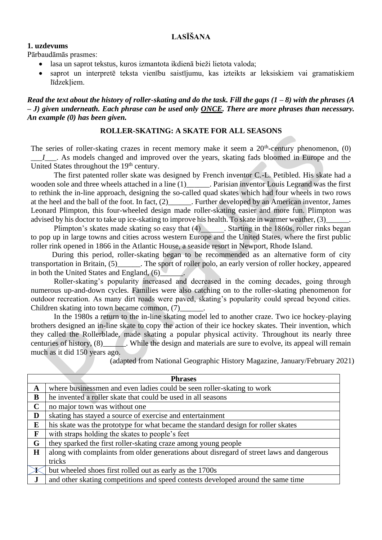## **1. uzdevums**

Pārbaudāmās prasmes:

- lasa un saprot tekstus, kuros izmantota ikdienā bieži lietota valoda;
- saprot un interpretē teksta vienību saistījumu, kas izteikts ar leksiskiem vai gramatiskiem līdzekliem.

#### *Read the text about the history of roller-skating and do the task. Fill the gaps (1 – 8) with the phrases (A – J) given underneath. Each phrase can be used only ONCE. There are more phrases than necessary. An example (0) has been given.*

## **ROLLER-SKATING: A SKATE FOR ALL SEASONS**

The series of roller-skating crazes in recent memory make it seem a 20<sup>th</sup>-century phenomenon, (0) *\_\_\_I\_\_\_*. As models changed and improved over the years, skating fads bloomed in Europe and the United States throughout the  $19<sup>th</sup>$  century.

The first patented roller skate was designed by French inventor C.-L. Petibled. His skate had a wooden sole and three wheels attached in a line (1)\_\_\_\_\_\_\_. Parisian inventor Louis Legrand was the first to rethink the in-line approach, designing the so-called quad skates which had four wheels in two rows at the heel and the ball of the foot. In fact, (2)\_\_\_\_\_\_. Further developed by an American inventor, James Leonard Plimpton, this four-wheeled design made roller-skating easier and more fun. Plimpton was advised by his doctor to take up ice-skating to improve his health. To skate in warmer weather, (3)

Plimpton's skates made skating so easy that (4) Starting in the 1860s, roller rinks began to pop up in large towns and cities across western Europe and the United States, where the first public roller rink opened in 1866 in the Atlantic House, a seaside resort in Newport, Rhode Island.

 During this period, roller-skating began to be recommended as an alternative form of city transportation in Britain, (5)\_\_\_\_\_\_. The sport of roller polo, an early version of roller hockey, appeared in both the United States and England,  $(6)$ 

Roller-skating's popularity increased and decreased in the coming decades, going through numerous up-and-down cycles. Families were also catching on to the roller-skating phenomenon for outdoor recreation. As many dirt roads were paved, skating's popularity could spread beyond cities. Children skating into town became common, (7)

In the 1980s a return to the in-line skating model led to another craze. Two ice hockey-playing brothers designed an in-line skate to copy the action of their ice hockey skates. Their invention, which they called the Rollerblade, made skating a popular physical activity. Throughout its nearly three centuries of history, (8)\_\_\_\_\_\_. While the design and materials are sure to evolve, its appeal will remain much as it did 150 years ago.

(adapted from National Geographic History Magazine, January/February 2021)

| <b>Phrases</b> |                                                                                           |  |  |  |
|----------------|-------------------------------------------------------------------------------------------|--|--|--|
| A              | where businessmen and even ladies could be seen roller-skating to work                    |  |  |  |
| B              | he invented a roller skate that could be used in all seasons                              |  |  |  |
| $\mathbf C$    | no major town was without one                                                             |  |  |  |
| D              | skating has stayed a source of exercise and entertainment                                 |  |  |  |
| E              | his skate was the prototype for what became the standard design for roller skates         |  |  |  |
| F              | with straps holding the skates to people's feet                                           |  |  |  |
| G              | they sparked the first roller-skating craze among young people                            |  |  |  |
| $\mathbf H$    | along with complaints from older generations about disregard of street laws and dangerous |  |  |  |
|                | tricks                                                                                    |  |  |  |
|                | but wheeled shoes first rolled out as early as the 1700s                                  |  |  |  |
| $\bf J$        | and other skating competitions and speed contests developed around the same time          |  |  |  |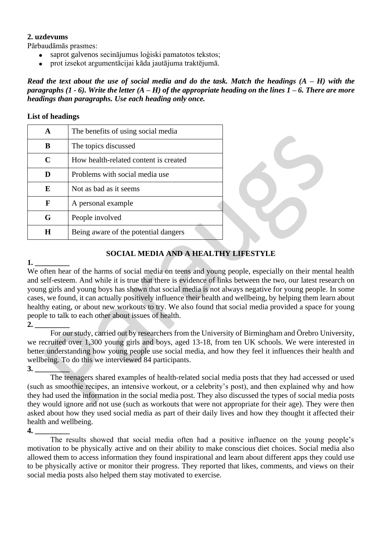#### **2. uzdevums**

Pārbaudāmās prasmes:

- saprot galvenos secinājumus loģiski pamatotos tekstos;
- prot izsekot argumentācijai kāda jautājuma traktējumā.

*Read the text about the use of social media and do the task. Match the headings (A – H) with the paragraphs (1 - 6). Write the letter (A – H) of the appropriate heading on the lines 1 – 6. There are more headings than paragraphs. Use each heading only once.* 

#### **List of headings**

| A           | The benefits of using social media    |  |
|-------------|---------------------------------------|--|
| B           | The topics discussed                  |  |
| $\mathbf C$ | How health-related content is created |  |
| D           | Problems with social media use        |  |
| E           | Not as bad as it seems                |  |
| F           | A personal example                    |  |
| G           | People involved                       |  |
| H           | Being aware of the potential dangers  |  |

## **SOCIAL MEDIA AND A HEALTHY LIFESTYLE**

**1. \_\_\_\_\_\_\_\_\_** 

We often hear of the harms of social media on teens and young people, especially on their mental health and self-esteem. And while it is true that there is evidence of links between the two, our latest research on young girls and young boys has shown that social media is not always negative for young people. In some cases, we found, it can actually positively influence their health and wellbeing, by helping them learn about healthy eating, or about new workouts to try. We also found that social media provided a space for young people to talk to each other about issues of health.

**2. \_\_\_\_\_\_\_\_\_** 

For our study, carried out by researchers from the University of Birmingham and Örebro University, we recruited over 1,300 young girls and boys, aged 13-18, from ten UK schools. We were interested in better understanding how young people use social media, and how they feel it influences their health and wellbeing. To do this we interviewed 84 participants.

**3. \_\_\_\_\_\_\_\_\_** 

The teenagers shared examples of health-related social media posts that they had accessed or used (such as smoothie recipes, an intensive workout, or a celebrity's post), and then explained why and how they had used the information in the social media post. They also discussed the types of social media posts they would ignore and not use (such as workouts that were not appropriate for their age). They were then asked about how they used social media as part of their daily lives and how they thought it affected their health and wellbeing.

#### **4. \_\_\_\_\_\_\_\_\_**

The results showed that social media often had a positive influence on the young people's motivation to be physically active and on their ability to make conscious diet choices. Social media also allowed them to access information they found inspirational and learn about different apps they could use to be physically active or monitor their progress. They reported that likes, comments, and views on their social media posts also helped them stay motivated to exercise.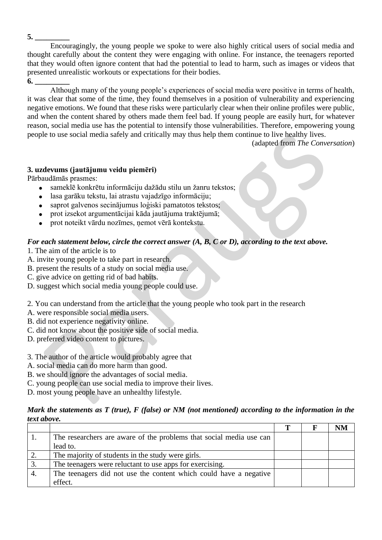Encouragingly, the young people we spoke to were also highly critical users of social media and thought carefully about the content they were engaging with online. For instance, the teenagers reported that they would often ignore content that had the potential to lead to harm, such as images or videos that presented unrealistic workouts or expectations for their bodies.

**6. \_\_\_\_\_\_\_\_\_** 

Although many of the young people's experiences of social media were positive in terms of health, it was clear that some of the time, they found themselves in a position of vulnerability and experiencing negative emotions. We found that these risks were particularly clear when their online profiles were public, and when the content shared by others made them feel bad. If young people are easily hurt, for whatever reason, social media use has the potential to intensify those vulnerabilities*.* Therefore*,* empowering young people to use social media safely and critically may thus help them continue to live healthy lives.

(adapted from *The Conversation*)

## **3. uzdevums (jautājumu veidu piemēri)**

Pārbaudāmās prasmes:

- sameklē konkrētu informāciju dažādu stilu un žanru tekstos;
- lasa garāku tekstu, lai atrastu vajadzīgo informāciju;
- saprot galvenos secinājumus loģiski pamatotos tekstos;
- prot izsekot argumentācijai kāda jautājuma traktējumā;
- prot noteikt vārdu nozīmes, ņemot vērā kontekstu.

#### *For each statement below, circle the correct answer (A, B, C or D), according to the text above.*

- 1. The aim of the article is to
- A. invite young people to take part in research.
- B. present the results of a study on social media use.
- C. give advice on getting rid of bad habits.
- D. suggest which social media young people could use.

2. You can understand from the article that the young people who took part in the research

- A. were responsible social media users.
- B. did not experience negativity online.
- C. did not know about the positive side of social media.
- D. preferred video content to pictures.
- 3. The author of the article would probably agree that
- A. social media can do more harm than good.
- B. we should ignore the advantages of social media.
- C. young people can use social media to improve their lives.

D. most young people have an unhealthy lifestyle.

#### *Mark the statements as T (true), F (false) or NM (not mentioned) according to the information in the text above.*

| The researchers are aware of the problems that social media use can |  |  |
|---------------------------------------------------------------------|--|--|
| lead to.                                                            |  |  |
| The majority of students in the study were girls.                   |  |  |
| The teenagers were reluctant to use apps for exercising.            |  |  |
| The teenagers did not use the content which could have a negative   |  |  |
| effect.                                                             |  |  |

**5. \_\_\_\_\_\_\_\_\_**